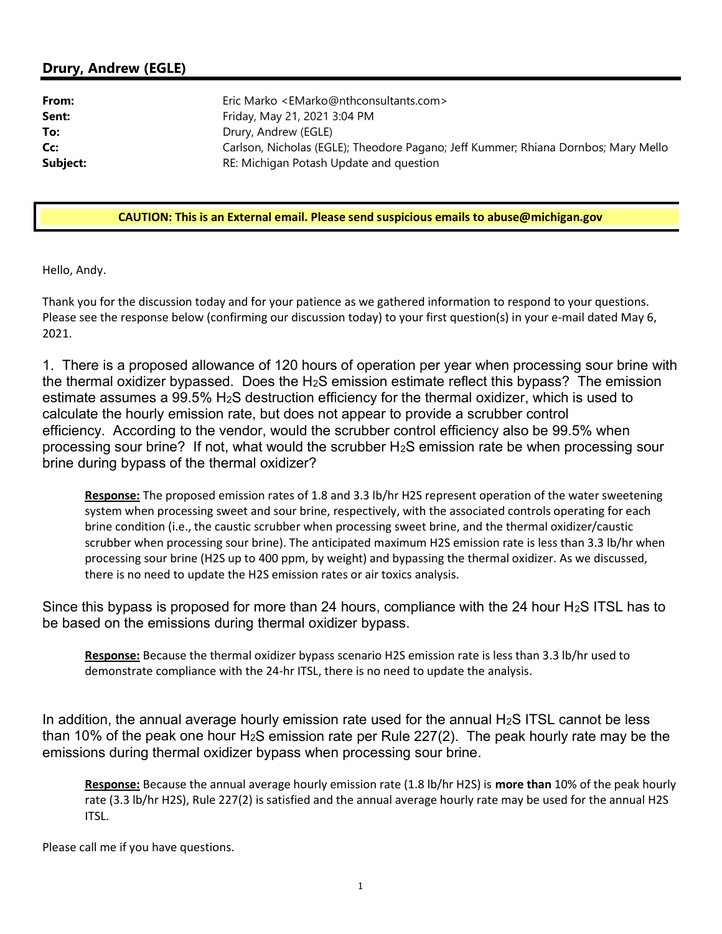## Drury, Andrew (EGLE)

| From:    | Eric Marko <emarko@nthconsultants.com></emarko@nthconsultants.com>                 |
|----------|------------------------------------------------------------------------------------|
| Sent:    | Friday, May 21, 2021 3:04 PM                                                       |
| To:      | Drury, Andrew (EGLE)                                                               |
| Cc:      | Carlson, Nicholas (EGLE); Theodore Pagano; Jeff Kummer; Rhiana Dornbos; Mary Mello |
| Subject: | RE: Michigan Potash Update and question                                            |

## CAUTION: This is an External email. Please send suspicious emails to [abuse@michigan.gov](mailto:abuse@michigan.gov)

Hello, Andy.

 Thank you for the discussion today and for your patience as we gathered information to respond to your questions. Please see the response below (confirming our discussion today) to your first question(s) in your e-mail dated May 6, 2021.

 1. There is a proposed allowance of 120 hours of operation per year when processing sour brine with the thermal oxidizer bypassed. Does the H<sub>2</sub>S emission estimate reflect this bypass? The emission estimate assumes a 99.5% H2S destruction efficiency for the thermal oxidizer, which is used to calculate the hourly emission rate, but does not appear to provide a scrubber control efficiency. According to the vendor, would the scrubber control efficiency also be 99.5% when processing sour brine? If not, what would the scrubber H2S emission rate be when processing sour brine during bypass of the thermal oxidizer?

Response: The proposed emission rates of 1.8 and 3.3 lb/hr H2S represent operation of the water sweetening system when processing sweet and sour brine, respectively, with the associated controls operating for each brine condition (i.e., the caustic scrubber when processing sweet brine, and the thermal oxidizer/caustic scrubber when processing sour brine). The anticipated maximum H2S emission rate is less than 3.3 lb/hr when processing sour brine (H2S up to 400 ppm, by weight) and bypassing the thermal oxidizer. As we discussed, there is no need to update the H2S emission rates or air toxics analysis.

Since this bypass is proposed for more than 24 hours, compliance with the 24 hour H<sub>2</sub>S ITSL has to be based on the emissions during thermal oxidizer bypass.

Response: Because the thermal oxidizer bypass scenario H2S emission rate is less than 3.3 lb/hr used to demonstrate compliance with the 24-hr ITSL, there is no need to update the analysis.

In addition, the annual average hourly emission rate used for the annual  $H_2S$  ITSL cannot be less than 10% of the peak one hour H<sub>2</sub>S emission rate per Rule 227(2). The peak hourly rate may be the emissions during thermal oxidizer bypass when processing sour brine.

Response: Because the annual average hourly emission rate (1.8 lb/hr H2S) is more than 10% of the peak hourly rate (3.3 lb/hr H2S), Rule 227(2) is satisfied and the annual average hourly rate may be used for the annual H2S ITSL.

Please call me if you have questions.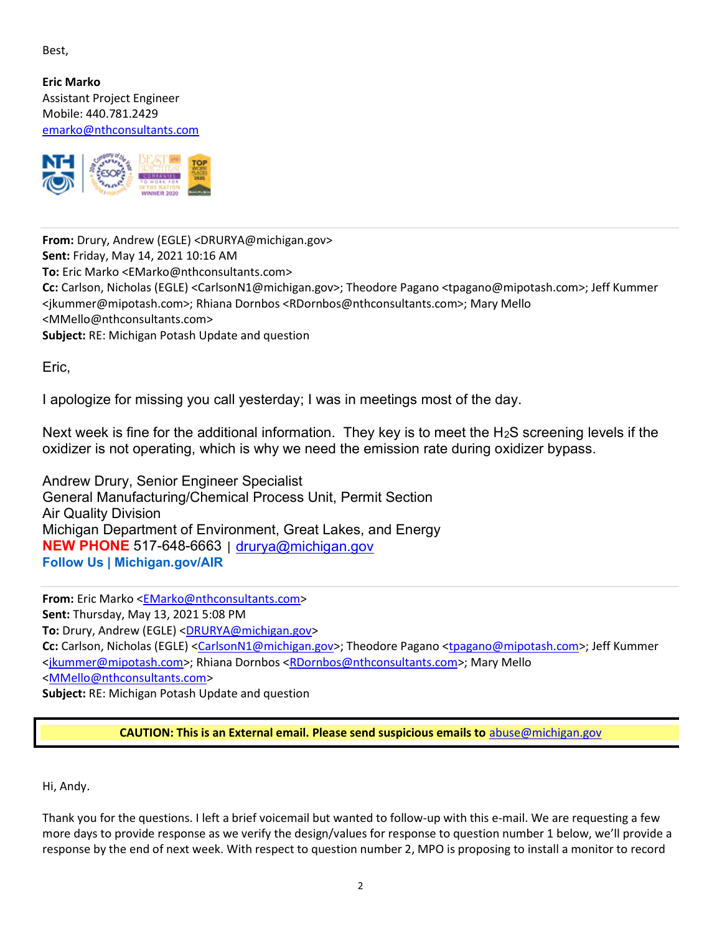Best,

 Eric Marko Assistant Project Engineer Mobile: 440.781.2429 [emarko@nthconsultants.com](mailto:emarko@nthconsultants.com)



 From: Drury, Andrew (EGLE) [<DRURYA@michigan.gov>](mailto:DRURYA@michigan.gov) Sent: Friday, May 14, 2021 10:16 AM To: Eric Marko [<EMarko@nthconsultants.com>](mailto:EMarko@nthconsultants.com) Cc: Carlson, Nicholas (EGLE) <[CarlsonN1@michigan.gov>;](mailto:CarlsonN1@michigan.gov) Theodore Pagano [<tpagano@mipotash.com>;](mailto:tpagano@mipotash.com) Jeff Kummer [<jkummer@mipotash.com>;](mailto:jkummer@mipotash.com) Rhiana Dornbos [<RDornbos@nthconsultants.com>;](mailto:RDornbos@nthconsultants.com) Mary Mello Subject: RE: Michigan Potash Update and question [<MMello@nthconsultants.com>](mailto:MMello@nthconsultants.com)

Eric,

I apologize for missing you call yesterday; I was in meetings most of the day.

Next week is fine for the additional information. They key is to meet the H<sub>2</sub>S screening levels if the oxidizer is not operating, which is why we need the emission rate during oxidizer bypass.

 Andrew Drury, Senior Engineer Specialist General Manufacturing/Chemical Process Unit, Permit Section Air Quality Division Michigan Department of Environment, Great Lakes, and Energy NEW PHONE 517-648-6663 | [drurya@michigan.gov](mailto:drurya@michigan.gov) Follow Us | [Michigan.gov/AIR](https://Michigan.gov/AIR)

From: Eric Marko <[EMarko@nthconsultants.com>](mailto:EMarko@nthconsultants.com) Sent: Thursday, May 13, 2021 5:08 PM <mark>To:</mark> Drury, Andrew (EGLE) <<u>DRURYA@michigan.gov</u>> Cc: Carlson, Nicholas (EGLE) <<u>CarlsonN1@michigan.gov</u>>; Theodore Pagano <tnogano@mipotash.com>; Jeff Kummer <[jkummer@mipotash.com>;](mailto:jkummer@mipotash.com) Rhiana Dornbos <[RDornbos@nthconsultants.com>;](mailto:RDornbos@nthconsultants.com) Mary Mello Subject: RE: Michigan Potash Update and question <[MMello@nthconsultants.com>](mailto:MMello@nthconsultants.com)

CAUTION: This is an External email. Please send suspicious emails to [abuse@michigan.gov](mailto:abuse@michigan.gov)

Hi, Andy.

 Thank you for the questions. I left a brief voicemail but wanted to follow-up with this e-mail. We are requesting a few more days to provide response as we verify the design/values for response to question number 1 below, we'll provide a response by the end of next week. With respect to question number 2, MPO is proposing to install a monitor to record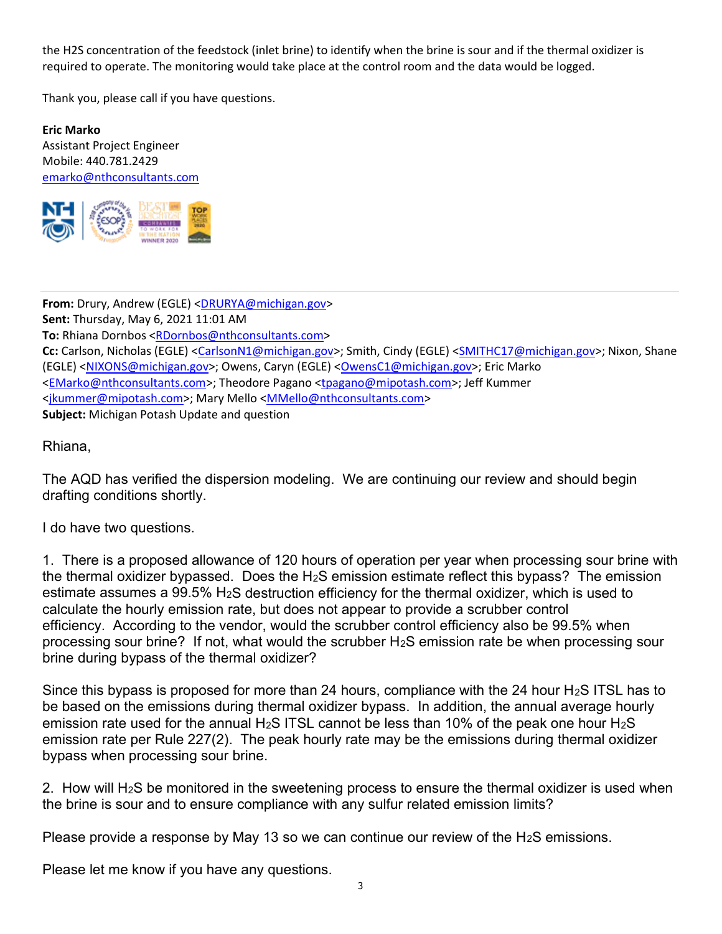the H2S concentration of the feedstock (inlet brine) to identify when the brine is sour and if the thermal oxidizer is required to operate. The monitoring would take place at the control room and the data would be logged.

Thank you, please call if you have questions.

 Eric Marko Assistant Project Engineer Mobile: 440.781.2429 [emarko@nthconsultants.com](mailto:emarko@nthconsultants.com)



From: Drury, Andrew (EGLE) [<DRURYA@michigan.gov>](mailto:DRURYA@michigan.gov) Sent: Thursday, May 6, 2021 11:01 AM To: Rhiana Dornbos [<RDornbos@nthconsultants.com>](mailto:RDornbos@nthconsultants.com) Cc: Carlson, Nicholas (EGLE) <<u>CarlsonN1@michigan.gov</u>>; Smith, Cindy (EGLE) <<u>SMITHC17@michigan.gov</u>>; Nixon, Shane (EGLE) <<u>NIXONS@michigan.gov</u>>; Owens, Caryn (EGLE) <<u>OwensC1@michigan.gov</u>>; Eric Marko <<u>EMarko@nthconsultants.com</u>>; Theodore Pagano <<u>tpagano@mipotash.com</u>>; Jeff Kummer <[jkummer@mipotash.com>;](mailto:jkummer@mipotash.com) Mary Mello [<MMello@nthconsultants.com>](mailto:MMello@nthconsultants.com) Subject: Michigan Potash Update and question

Rhiana,

 The AQD has verified the dispersion modeling. We are continuing our review and should begin drafting conditions shortly.

I do have two questions.

 1. There is a proposed allowance of 120 hours of operation per year when processing sour brine with the thermal oxidizer bypassed. Does the H<sub>2</sub>S emission estimate reflect this bypass? The emission estimate assumes a 99.5% H2S destruction efficiency for the thermal oxidizer, which is used to calculate the hourly emission rate, but does not appear to provide a scrubber control efficiency. According to the vendor, would the scrubber control efficiency also be 99.5% when processing sour brine? If not, what would the scrubber H2S emission rate be when processing sour brine during bypass of the thermal oxidizer?

Since this bypass is proposed for more than 24 hours, compliance with the 24 hour H<sub>2</sub>S ITSL has to be based on the emissions during thermal oxidizer bypass. In addition, the annual average hourly emission rate used for the annual H<sub>2</sub>S ITSL cannot be less than 10% of the peak one hour H<sub>2</sub>S emission rate per Rule 227(2). The peak hourly rate may be the emissions during thermal oxidizer bypass when processing sour brine.

2. How will H<sub>2</sub>S be monitored in the sweetening process to ensure the thermal oxidizer is used when the brine is sour and to ensure compliance with any sulfur related emission limits?

Please provide a response by May 13 so we can continue our review of the H<sub>2</sub>S emissions.

Please let me know if you have any questions.